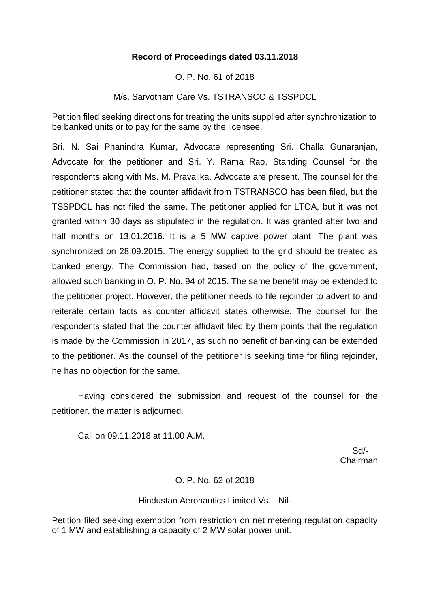# **Record of Proceedings dated 03.11.2018**

O. P. No. 61 of 2018

M/s. Sarvotham Care Vs. TSTRANSCO & TSSPDCL

Petition filed seeking directions for treating the units supplied after synchronization to be banked units or to pay for the same by the licensee.

Sri. N. Sai Phanindra Kumar, Advocate representing Sri. Challa Gunaranjan, Advocate for the petitioner and Sri. Y. Rama Rao, Standing Counsel for the respondents along with Ms. M. Pravalika, Advocate are present. The counsel for the petitioner stated that the counter affidavit from TSTRANSCO has been filed, but the TSSPDCL has not filed the same. The petitioner applied for LTOA, but it was not granted within 30 days as stipulated in the regulation. It was granted after two and half months on 13.01.2016. It is a 5 MW captive power plant. The plant was synchronized on 28.09.2015. The energy supplied to the grid should be treated as banked energy. The Commission had, based on the policy of the government, allowed such banking in O. P. No. 94 of 2015. The same benefit may be extended to the petitioner project. However, the petitioner needs to file rejoinder to advert to and reiterate certain facts as counter affidavit states otherwise. The counsel for the respondents stated that the counter affidavit filed by them points that the regulation is made by the Commission in 2017, as such no benefit of banking can be extended to the petitioner. As the counsel of the petitioner is seeking time for filing rejoinder, he has no objection for the same.

Having considered the submission and request of the counsel for the petitioner, the matter is adjourned.

Call on 09.11.2018 at 11.00 A.M.

 Sd/- Chairman

# O. P. No. 62 of 2018

#### Hindustan Aeronautics Limited Vs. -Nil-

Petition filed seeking exemption from restriction on net metering regulation capacity of 1 MW and establishing a capacity of 2 MW solar power unit.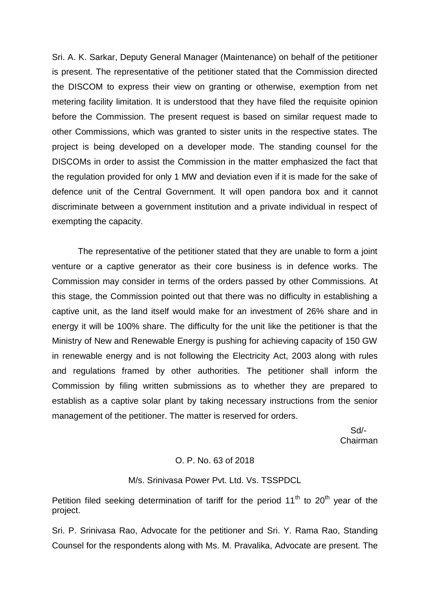Sri. A. K. Sarkar, Deputy General Manager (Maintenance) on behalf of the petitioner is present. The representative of the petitioner stated that the Commission directed the DISCOM to express their view on granting or otherwise, exemption from net metering facility limitation. It is understood that they have filed the requisite opinion before the Commission. The present request is based on similar request made to other Commissions, which was granted to sister units in the respective states. The project is being developed on a developer mode. The standing counsel for the DISCOMs in order to assist the Commission in the matter emphasized the fact that the regulation provided for only 1 MW and deviation even if it is made for the sake of defence unit of the Central Government. It will open pandora box and it cannot discriminate between a government institution and a private individual in respect of exempting the capacity.

The representative of the petitioner stated that they are unable to form a joint venture or a captive generator as their core business is in defence works. The Commission may consider in terms of the orders passed by other Commissions. At this stage, the Commission pointed out that there was no difficulty in establishing a captive unit, as the land itself would make for an investment of 26% share and in energy it will be 100% share. The difficulty for the unit like the petitioner is that the Ministry of New and Renewable Energy is pushing for achieving capacity of 150 GW in renewable energy and is not following the Electricity Act, 2003 along with rules and regulations framed by other authorities. The petitioner shall inform the Commission by filing written submissions as to whether they are prepared to establish as a captive solar plant by taking necessary instructions from the senior management of the petitioner. The matter is reserved for orders.

 Sd/- Chairman

#### O. P. No. 63 of 2018

#### M/s. Srinivasa Power Pvt. Ltd. Vs. TSSPDCL

Petition filed seeking determination of tariff for the period  $11<sup>th</sup>$  to  $20<sup>th</sup>$  year of the project.

Sri. P. Srinivasa Rao, Advocate for the petitioner and Sri. Y. Rama Rao, Standing Counsel for the respondents along with Ms. M. Pravalika, Advocate are present. The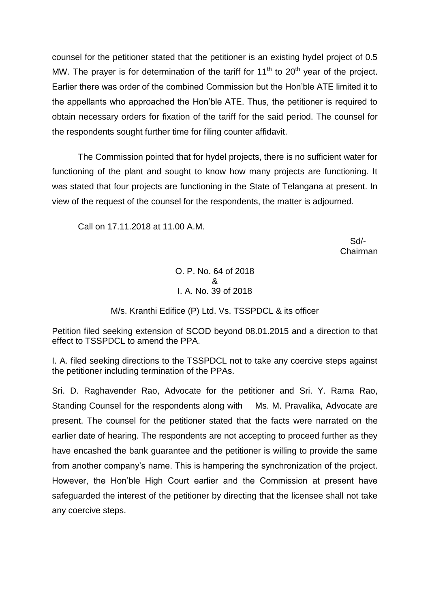counsel for the petitioner stated that the petitioner is an existing hydel project of 0.5 MW. The prayer is for determination of the tariff for  $11<sup>th</sup>$  to  $20<sup>th</sup>$  year of the project. Earlier there was order of the combined Commission but the Hon'ble ATE limited it to the appellants who approached the Hon'ble ATE. Thus, the petitioner is required to obtain necessary orders for fixation of the tariff for the said period. The counsel for the respondents sought further time for filing counter affidavit.

The Commission pointed that for hydel projects, there is no sufficient water for functioning of the plant and sought to know how many projects are functioning. It was stated that four projects are functioning in the State of Telangana at present. In view of the request of the counsel for the respondents, the matter is adjourned.

Call on 17.11.2018 at 11.00 A.M.

 Sd/- Chairman

> O. P. No. 64 of 2018 & I. A. No. 39 of 2018

# M/s. Kranthi Edifice (P) Ltd. Vs. TSSPDCL & its officer

Petition filed seeking extension of SCOD beyond 08.01.2015 and a direction to that effect to TSSPDCL to amend the PPA.

I. A. filed seeking directions to the TSSPDCL not to take any coercive steps against the petitioner including termination of the PPAs.

Sri. D. Raghavender Rao, Advocate for the petitioner and Sri. Y. Rama Rao, Standing Counsel for the respondents along with Ms. M. Pravalika, Advocate are present. The counsel for the petitioner stated that the facts were narrated on the earlier date of hearing. The respondents are not accepting to proceed further as they have encashed the bank guarantee and the petitioner is willing to provide the same from another company's name. This is hampering the synchronization of the project. However, the Hon'ble High Court earlier and the Commission at present have safeguarded the interest of the petitioner by directing that the licensee shall not take any coercive steps.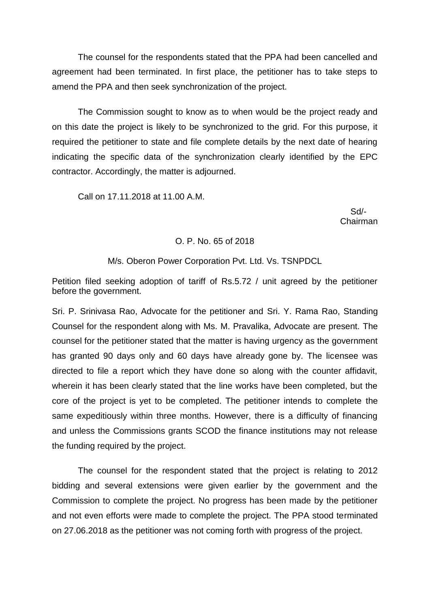The counsel for the respondents stated that the PPA had been cancelled and agreement had been terminated. In first place, the petitioner has to take steps to amend the PPA and then seek synchronization of the project.

The Commission sought to know as to when would be the project ready and on this date the project is likely to be synchronized to the grid. For this purpose, it required the petitioner to state and file complete details by the next date of hearing indicating the specific data of the synchronization clearly identified by the EPC contractor. Accordingly, the matter is adjourned.

Call on 17.11.2018 at 11.00 A.M.

 Sd/- Chairman

### O. P. No. 65 of 2018

### M/s. Oberon Power Corporation Pvt. Ltd. Vs. TSNPDCL

Petition filed seeking adoption of tariff of Rs.5.72 / unit agreed by the petitioner before the government.

Sri. P. Srinivasa Rao, Advocate for the petitioner and Sri. Y. Rama Rao, Standing Counsel for the respondent along with Ms. M. Pravalika, Advocate are present. The counsel for the petitioner stated that the matter is having urgency as the government has granted 90 days only and 60 days have already gone by. The licensee was directed to file a report which they have done so along with the counter affidavit, wherein it has been clearly stated that the line works have been completed, but the core of the project is yet to be completed. The petitioner intends to complete the same expeditiously within three months. However, there is a difficulty of financing and unless the Commissions grants SCOD the finance institutions may not release the funding required by the project.

The counsel for the respondent stated that the project is relating to 2012 bidding and several extensions were given earlier by the government and the Commission to complete the project. No progress has been made by the petitioner and not even efforts were made to complete the project. The PPA stood terminated on 27.06.2018 as the petitioner was not coming forth with progress of the project.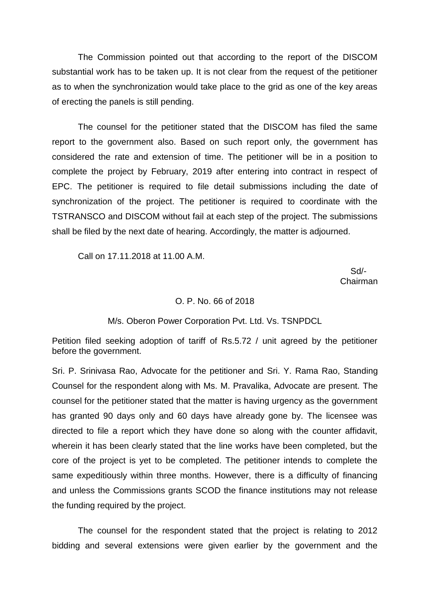The Commission pointed out that according to the report of the DISCOM substantial work has to be taken up. It is not clear from the request of the petitioner as to when the synchronization would take place to the grid as one of the key areas of erecting the panels is still pending.

The counsel for the petitioner stated that the DISCOM has filed the same report to the government also. Based on such report only, the government has considered the rate and extension of time. The petitioner will be in a position to complete the project by February, 2019 after entering into contract in respect of EPC. The petitioner is required to file detail submissions including the date of synchronization of the project. The petitioner is required to coordinate with the TSTRANSCO and DISCOM without fail at each step of the project. The submissions shall be filed by the next date of hearing. Accordingly, the matter is adjourned.

Call on 17.11.2018 at 11.00 A.M.

 Sd/- Chairman

#### O. P. No. 66 of 2018

#### M/s. Oberon Power Corporation Pvt. Ltd. Vs. TSNPDCL

Petition filed seeking adoption of tariff of Rs.5.72 / unit agreed by the petitioner before the government.

Sri. P. Srinivasa Rao, Advocate for the petitioner and Sri. Y. Rama Rao, Standing Counsel for the respondent along with Ms. M. Pravalika, Advocate are present. The counsel for the petitioner stated that the matter is having urgency as the government has granted 90 days only and 60 days have already gone by. The licensee was directed to file a report which they have done so along with the counter affidavit, wherein it has been clearly stated that the line works have been completed, but the core of the project is yet to be completed. The petitioner intends to complete the same expeditiously within three months. However, there is a difficulty of financing and unless the Commissions grants SCOD the finance institutions may not release the funding required by the project.

The counsel for the respondent stated that the project is relating to 2012 bidding and several extensions were given earlier by the government and the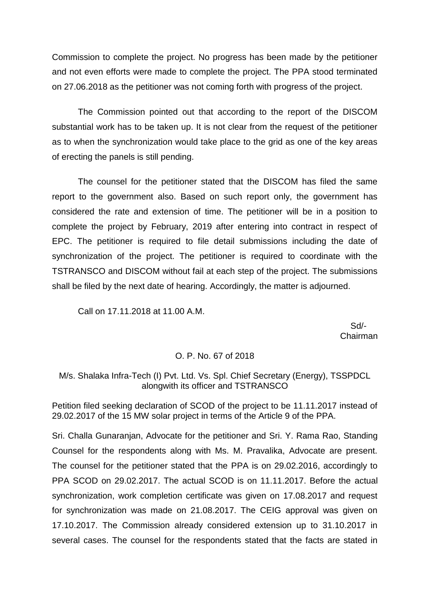Commission to complete the project. No progress has been made by the petitioner and not even efforts were made to complete the project. The PPA stood terminated on 27.06.2018 as the petitioner was not coming forth with progress of the project.

The Commission pointed out that according to the report of the DISCOM substantial work has to be taken up. It is not clear from the request of the petitioner as to when the synchronization would take place to the grid as one of the key areas of erecting the panels is still pending.

The counsel for the petitioner stated that the DISCOM has filed the same report to the government also. Based on such report only, the government has considered the rate and extension of time. The petitioner will be in a position to complete the project by February, 2019 after entering into contract in respect of EPC. The petitioner is required to file detail submissions including the date of synchronization of the project. The petitioner is required to coordinate with the TSTRANSCO and DISCOM without fail at each step of the project. The submissions shall be filed by the next date of hearing. Accordingly, the matter is adjourned.

Call on 17.11.2018 at 11.00 A.M.

 Sd/- Chairman

### O. P. No. 67 of 2018

## M/s. Shalaka Infra-Tech (I) Pvt. Ltd. Vs. Spl. Chief Secretary (Energy), TSSPDCL alongwith its officer and TSTRANSCO

Petition filed seeking declaration of SCOD of the project to be 11.11.2017 instead of 29.02.2017 of the 15 MW solar project in terms of the Article 9 of the PPA.

Sri. Challa Gunaranjan, Advocate for the petitioner and Sri. Y. Rama Rao, Standing Counsel for the respondents along with Ms. M. Pravalika, Advocate are present. The counsel for the petitioner stated that the PPA is on 29.02.2016, accordingly to PPA SCOD on 29.02.2017. The actual SCOD is on 11.11.2017. Before the actual synchronization, work completion certificate was given on 17.08.2017 and request for synchronization was made on 21.08.2017. The CEIG approval was given on 17.10.2017. The Commission already considered extension up to 31.10.2017 in several cases. The counsel for the respondents stated that the facts are stated in